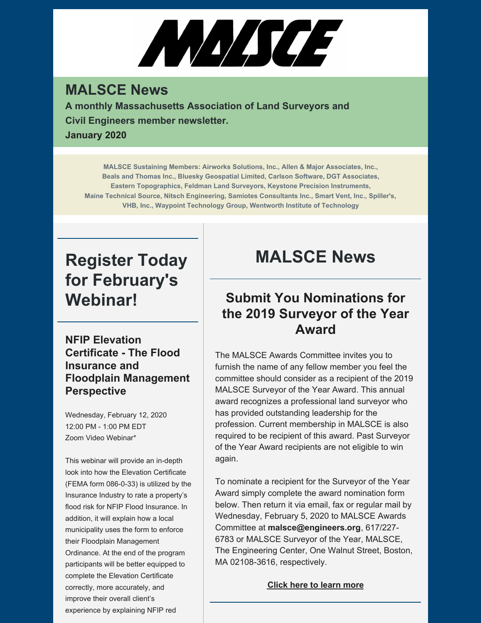# ANA/SCE

#### **MALSCE News**

**A monthly Massachusetts Association of Land Surveyors and Civil Engineers member newsletter. January 2020**

**MALSCE Sustaining Members: Airworks Solutions, Inc., Allen & Major Associates, Inc., Beals and Thomas Inc., Bluesky Geospatial Limited, Carlson Software, DGT Associates, Eastern Topographics, Feldman Land Surveyors, Keystone Precision Instruments, Maine Technical Source, Nitsch Engineering, Samiotes Consultants Inc., Smart Vent, Inc., Spiller's, VHB, Inc., Waypoint Technology Group, Wentworth Institute of Technology**

# **Register Today for February's Webinar!**

**NFIP Elevation Certificate - The Flood Insurance and Floodplain Management Perspective**

Wednesday, February 12, 2020 12:00 PM - 1:00 PM EDT Zoom Video Webinar\*

This webinar will provide an in-depth look into how the Elevation Certificate (FEMA form 086-0-33) is utilized by the Insurance Industry to rate a property's flood risk for NFIP Flood Insurance. In addition, it will explain how a local municipality uses the form to enforce their Floodplain Management Ordinance. At the end of the program participants will be better equipped to complete the Elevation Certificate correctly, more accurately, and improve their overall client's experience by explaining NFIP red

# **MALSCE News**

#### **Submit You Nominations for the 2019 Surveyor of the Year Award**

The MALSCE Awards Committee invites you to furnish the name of any fellow member you feel the committee should consider as a recipient of the 2019 MALSCE Surveyor of the Year Award. This annual award recognizes a professional land surveyor who has provided outstanding leadership for the profession. Current membership in MALSCE is also required to be recipient of this award. Past Surveyor of the Year Award recipients are not eligible to win again.

To nominate a recipient for the Surveyor of the Year Award simply complete the award nomination form below. Then return it via email, fax or regular mail by Wednesday, February 5, 2020 to MALSCE Awards Committee at **[malsce@engineers.org](mailto:malsce@engineers.org)**, 617/227- 6783 or MALSCE Surveyor of the Year, MALSCE, The Engineering Center, One Walnut Street, Boston, MA 02108-3616, respectively.

#### **Click here to learn [more](http://files.engineers.org/file/2019-Surveyor-Of-The-Year-Nomination-Form-C5AA.pdf)**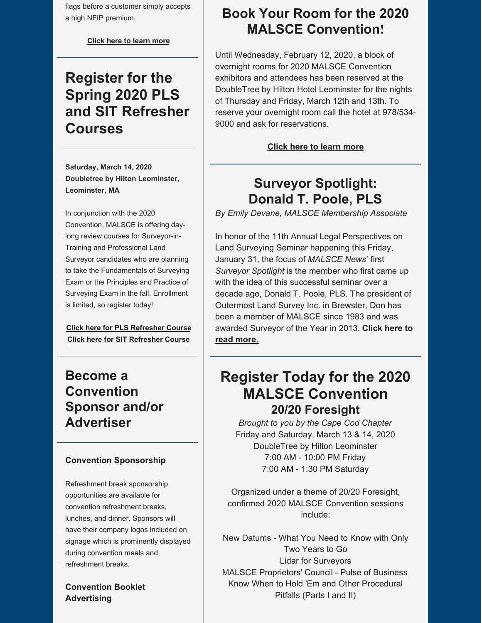flags before a customer simply accepts a high NFIP premium.

**[Click](https://www.malsce.org/events/webinar-nfip-elevation-certificate-the-flood-insurance-and-floodplain-management-perspective-2903) here to learn more**

## **Register for the Spring 2020 PLS and SIT Refresher Courses**

**Saturday, March 14, 2020 Doubletree by Hilton Leominster, Leominster, MA**

In conjunction with the 2020 Convention, MALSCE is offering daylong review courses for Surveyor-in-Training and Professional Land Surveyor candidates who are planning to take the Fundamentals of Surveying Exam or the Principles and Practice of Surveying Exam in the fall. Enrollment is limited, so register today!

**Click here for PLS [Refresher](https://www.malsce.org/events/spring-2020-pls-refresher-course-2872) Course Click here for SIT [Refresher](https://www.malsce.org/events/spring-2020-sit-refresher-course-2873) Course**

#### **Become a Convention Sponsor and/or Advertiser**

#### **Convention Sponsorship**

Refreshment break sponsorship opportunities are available for convention refreshment breaks, lunches, and dinner. Sponsors will have their company logos included on signage which is prominently displayed during convention meals and refreshment breaks.

**Convention Booklet Advertising**

#### **Book Your Room for the 2020 MALSCE Convention!**

Until Wednesday, February 12, 2020, a block of overnight rooms for 2020 MALSCE Convention exhibitors and attendees has been reserved at the DoubleTree by Hilton Hotel Leominster for the nights of Thursday and Friday, March 12th and 13th. To reserve your overnight room call the hotel at 978/534- 9000 and ask for reservations.

**Click here to learn [more](https://www.malsce.org/news-publications/news/book-your-room-for-the-2020-malsce-convention-2891)**

#### **Surveyor Spotlight: Donald T. Poole, PLS**

*By Emily Devane, MALSCE Membership Associate*

In honor of the 11th Annual Legal Perspectives on Land Surveying Seminar happening this Friday, January 31, the focus of *MALSCE News*' first *Surveyor Spotlight* is the member who first came up with the idea of this successful seminar over a decade ago, Donald T. Poole, PLS. The president of Outermost Land Survey Inc. in Brewster, Don has been a member of MALSCE since 1983 and was awarded [Surveyor](https://www.malsce.org/news-publications/news/surveyor-spotlight-donald-t-poole-pls-2910) of the Year in 2013. **Click here to read more.**

### **Register Today for the 2020 MALSCE Convention 20/20 Foresight**

*Brought to you by the Cape Cod Chapter* Friday and Saturday, March 13 & 14, 2020 DoubleTree by Hilton Leominster 7:00 AM - 10:00 PM Friday 7:00 AM - 1:30 PM Saturday

Organized under a theme of 20/20 Foresight, confirmed 2020 MALSCE Convention sessions include:

New Datums - What You Need to Know with Only Two Years to Go Lidar for Surveyors MALSCE Proprietors' Council - Pulse of Business Know When to Hold 'Em and Other Procedural Pitfalls (Parts I and II)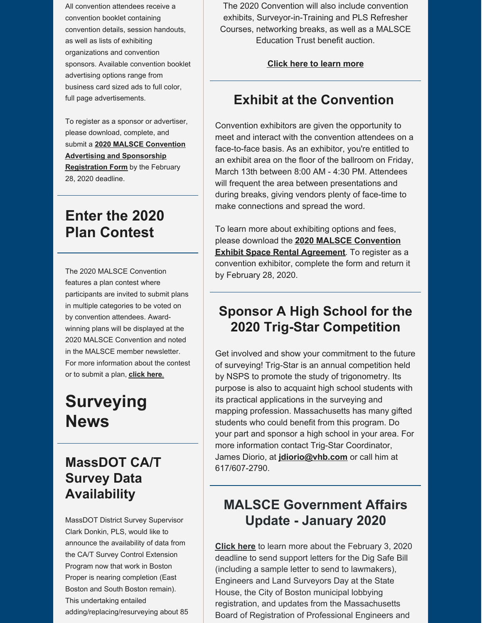All convention attendees receive a convention booklet containing convention details, session handouts, as well as lists of exhibiting organizations and convention sponsors. Available convention booklet advertising options range from business card sized ads to full color, full page advertisements.

To register as a sponsor or advertiser, please download, complete, and submit a **2020 MALSCE Convention Advertising and [Sponsorship](http://files.engineers.org/file/2020-MALSCE-Convention-Advertisement-And-Sponsor-Form-DC17.pdf) Registration Form** by the February 28, 2020 deadline.

## **Enter the 2020 Plan Contest**

The 2020 MALSCE Convention features a plan contest where participants are invited to submit plans in multiple categories to be voted on by convention attendees. Awardwinning plans will be displayed at the 2020 MALSCE Convention and noted in the MALSCE member newsletter. For more information about the contest or to submit a plan, **[click](https://files.engineers.org/file/2020-MALSCE-Plan-Contest-Entry-Form-373B.pdf) here**.

# **Surveying News**

#### **MassDOT CA/T Survey Data Availability**

MassDOT District Survey Supervisor Clark Donkin, PLS, would like to announce the availability of data from the CA/T Survey Control Extension Program now that work in Boston Proper is nearing completion (East Boston and South Boston remain). This undertaking entailed adding/replacing/resurveying about 85

The 2020 Convention will also include convention exhibits, Surveyor-in-Training and PLS Refresher Courses, networking breaks, as well as a MALSCE Education Trust benefit auction.

#### **Click here to learn [more](https://www.malsce.org/events/malsce-2020-annual-convention-2871)**

#### **Exhibit at the Convention**

Convention exhibitors are given the opportunity to meet and interact with the convention attendees on a face-to-face basis. As an exhibitor, you're entitled to an exhibit area on the floor of the ballroom on Friday, March 13th between 8:00 AM - 4:30 PM. Attendees will frequent the area between presentations and during breaks, giving vendors plenty of face-time to make connections and spread the word.

To learn more about exhibiting options and fees, please download the **2020 MALSCE [Convention](http://files.engineers.org/file/2020-MALSCEConvExhibitSpaceRentalAgreement-454F.pdf) Exhibit Space Rental Agreement**. To register as a convention exhibitor, complete the form and return it by February 28, 2020.

#### **Sponsor A High School for the 2020 Trig-Star Competition**

Get involved and show your commitment to the future of surveying! Trig-Star is an annual competition held by NSPS to promote the study of trigonometry. Its purpose is also to acquaint high school students with its practical applications in the surveying and mapping profession. Massachusetts has many gifted students who could benefit from this program. Do your part and sponsor a high school in your area. For more information contact Trig-Star Coordinator, James Diorio, at **[jdiorio@vhb.com](mailto:jdiorio@vhb.com)** or call him at 617/607-2790.

#### **MALSCE Government Affairs Update - January 2020**

**[Click](https://www.malsce.org/news-publications/news/malsce-government-affairs-update-december-2019-2818) here** to learn more about the February 3, 2020 deadline to send support letters for the Dig Safe Bill (including a sample letter to send to lawmakers), Engineers and Land Surveyors Day at the State House, the City of Boston municipal lobbying registration, and updates from the Massachusetts Board of Registration of Professional Engineers and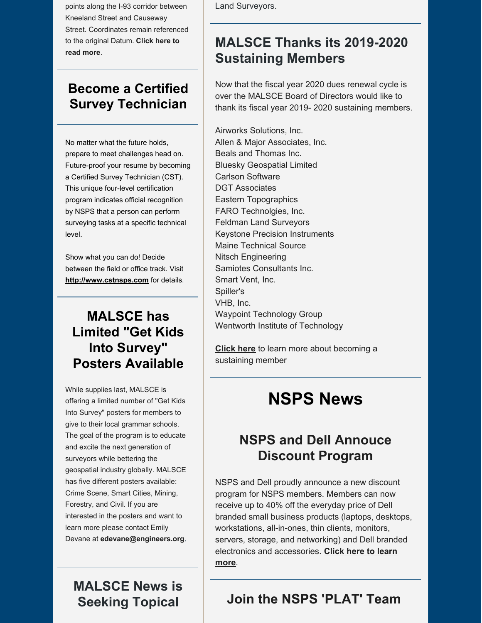points along the I-93 corridor between Kneeland Street and Causeway Street. Coordinates remain referenced to the original [Datum.](https://www.malsce.org/news-publications/news/massdot-ca-t-survey-data-availability-2920) **Click here to read more**.

#### **Become a Certified Survey Technician**

No matter what the future holds, prepare to meet challenges head on. Future-proof your resume by becoming a Certified Survey Technician (CST). This unique four-level certification program indicates official recognition by NSPS that a person can perform surveying tasks at a specific technical level.

Show what you can do! Decide between the field or office track. Visit **[http://www.cstnsps.com](http://www.cstnsps.com/)** for details.

## **MALSCE has Limited "Get Kids Into Survey" Posters Available**

While supplies last, MALSCE is offering a limited number of "Get Kids Into Survey" posters for members to give to their local grammar schools. The goal of the program is to educate and excite the next generation of surveyors while bettering the geospatial industry globally. MALSCE has five different posters available: Crime Scene, Smart Cities, Mining, Forestry, and Civil. If you are interested in the posters and want to learn more please contact Emily Devane at **[edevane@engineers.org](mailto:edevane@engineers.org)**.

**MALSCE News is Seeking Topical**

Land Surveyors.

## **MALSCE Thanks its 2019-2020 Sustaining Members**

Now that the fiscal year 2020 dues renewal cycle is over the MALSCE Board of Directors would like to thank its fiscal year 2019- 2020 sustaining members.

Airworks Solutions, Inc. Allen & Major Associates, Inc. Beals and Thomas Inc. Bluesky Geospatial Limited Carlson Software DGT Associates Eastern Topographics FARO Technolgies, Inc. Feldman Land Surveyors Keystone Precision Instruments Maine Technical Source Nitsch Engineering Samiotes Consultants Inc. Smart Vent, Inc. Spiller's VHB, Inc. Waypoint Technology Group Wentworth Institute of Technology

**[Click](http://files.engineers.org/file/2019-2020-Sustaining-Membership-Program-Announcement-894D.pdf) here** to learn more about becoming a sustaining member

# **NSPS News**

#### **NSPS and Dell Annouce Discount Program**

NSPS and Dell proudly announce a new discount program for NSPS members. Members can now receive up to 40% off the everyday price of Dell branded small business products (laptops, desktops, workstations, all-in-ones, thin clients, monitors, servers, storage, and networking) and Dell branded electronics and [accessories.](https://www.nsps.us.com/page/Dell) **Click here to learn more**.

#### **Join the NSPS 'PLAT' Team**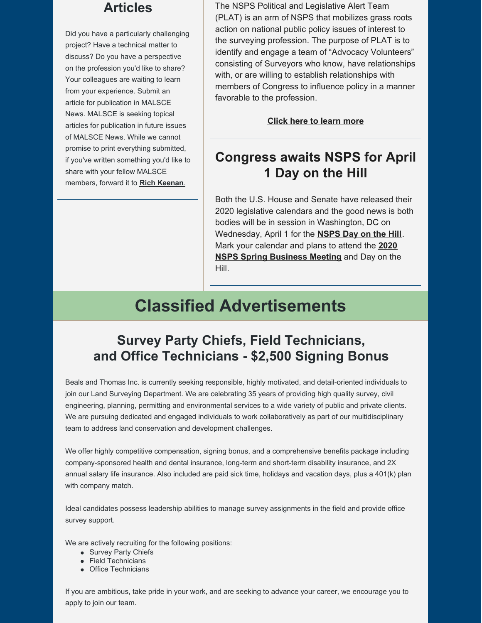#### **Articles**

Did you have a particularly challenging project? Have a technical matter to discuss? Do you have a perspective on the profession you'd like to share? Your colleagues are waiting to learn from your experience. Submit an article for publication in MALSCE News. MALSCE is seeking topical articles for publication in future issues of MALSCE News. While we cannot promise to print everything submitted, if you've written something you'd like to share with your fellow MALSCE members, forward it to **Rich [Keenan](mailto:rkeenan@engineers.org)**.

The NSPS Political and Legislative Alert Team (PLAT) is an arm of NSPS that mobilizes grass roots action on national public policy issues of interest to the surveying profession. The purpose of PLAT is to identify and engage a team of "Advocacy Volunteers" consisting of Surveyors who know, have relationships with, or are willing to establish relationships with members of Congress to influence policy in a manner favorable to the profession.

#### **Click here to learn [more](https://www.nsps.us.com/page/PLAT)**

#### **Congress awaits NSPS for April 1 Day on the Hill**

Both the U.S. House and Senate have released their 2020 legislative calendars and the good news is both bodies will be in session in Washington, DC on Wednesday, April 1 for the **[NSPS](https://www.nsps.us.com/page/2020NSPSDayontheHill) Day on the Hill**. Mark your calendar and plans to attend the **2020 NSPS Spring [Business](https://www.nsps.us.com/page/NSPSMeetings?&hhsearchterms=%22april+and+1%2c+and+2020%22) Meeting** and Day on the Hill.

# **Classified Advertisements**

#### **Survey Party Chiefs, Field Technicians, and Office Technicians - \$2,500 Signing Bonus**

Beals and Thomas Inc. is currently seeking responsible, highly motivated, and detail-oriented individuals to join our Land Surveying Department. We are celebrating 35 years of providing high quality survey, civil engineering, planning, permitting and environmental services to a wide variety of public and private clients. We are pursuing dedicated and engaged individuals to work collaboratively as part of our multidisciplinary team to address land conservation and development challenges.

We offer highly competitive compensation, signing bonus, and a comprehensive benefits package including company-sponsored health and dental insurance, long-term and short-term disability insurance, and 2X annual salary life insurance. Also included are paid sick time, holidays and vacation days, plus a 401(k) plan with company match.

Ideal candidates possess leadership abilities to manage survey assignments in the field and provide office survey support.

We are actively recruiting for the following positions:

- Survey Party Chiefs
- Field Technicians
- Office Technicians

If you are ambitious, take pride in your work, and are seeking to advance your career, we encourage you to apply to join our team.